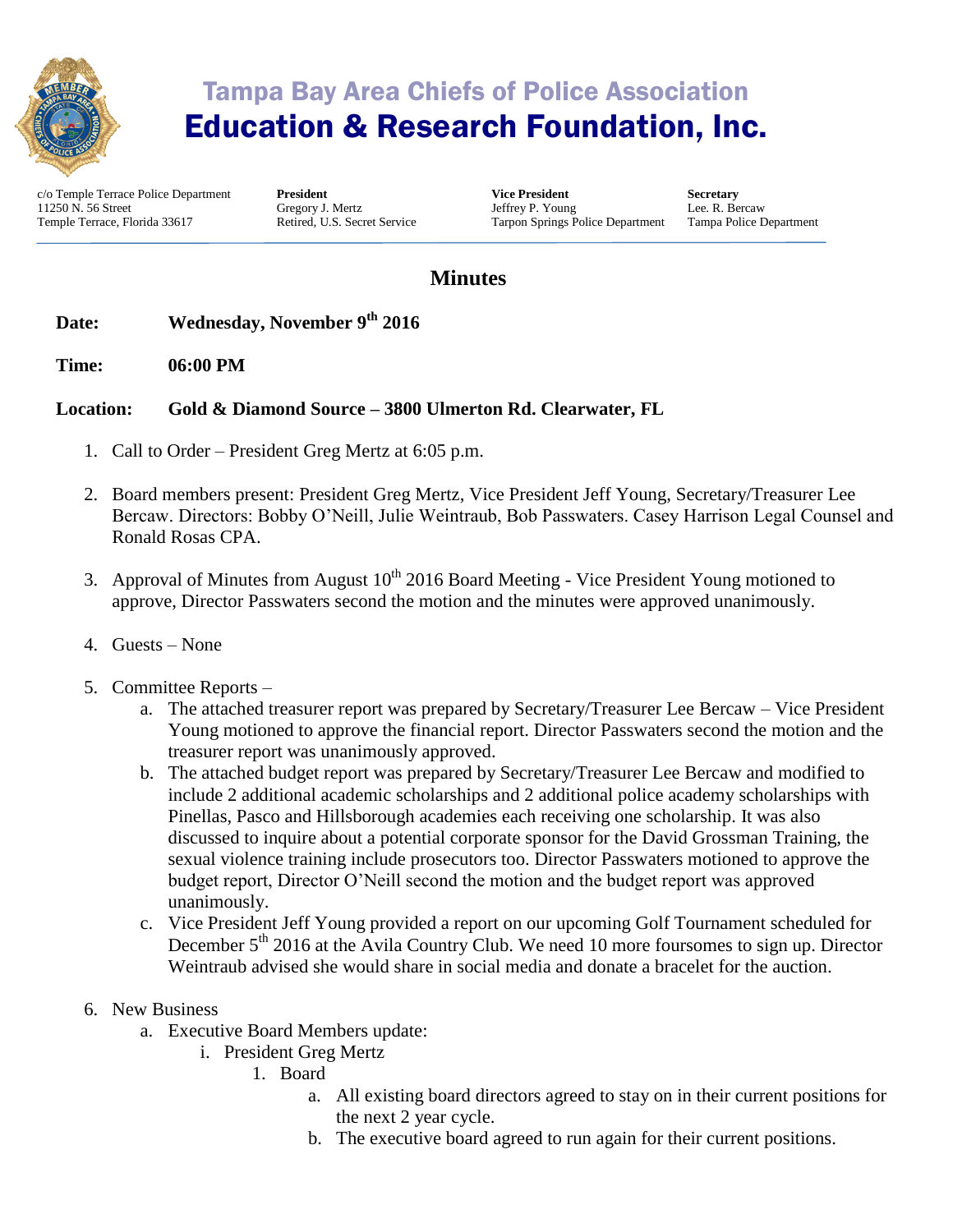

# Tampa Bay Area Chiefs of Police Association Education & Research Foundation, Inc.

c/o Temple Terrace Police Department 11250 N. 56 Street Temple Terrace, Florida 33617

**President** Gregory J. Mertz Retired, U.S. Secret Service **Vice President** Jeffrey P. Young Tarpon Springs Police Department **Secretary** Lee. R. Bercaw Tampa Police Department

### **Minutes**

#### **Date: Wednesday, November 9th 2016**

**Time: 06:00 PM** 

#### **Location: Gold & Diamond Source – 3800 Ulmerton Rd. Clearwater, FL**

- 1. Call to Order President Greg Mertz at 6:05 p.m.
- 2. Board members present: President Greg Mertz, Vice President Jeff Young, Secretary/Treasurer Lee Bercaw. Directors: Bobby O'Neill, Julie Weintraub, Bob Passwaters. Casey Harrison Legal Counsel and Ronald Rosas CPA.
- 3. Approval of Minutes from August  $10^{th}$  2016 Board Meeting Vice President Young motioned to approve, Director Passwaters second the motion and the minutes were approved unanimously.
- 4. Guests None
- 5. Committee Reports
	- a. The attached treasurer report was prepared by Secretary/Treasurer Lee Bercaw Vice President Young motioned to approve the financial report. Director Passwaters second the motion and the treasurer report was unanimously approved.
	- b. The attached budget report was prepared by Secretary/Treasurer Lee Bercaw and modified to include 2 additional academic scholarships and 2 additional police academy scholarships with Pinellas, Pasco and Hillsborough academies each receiving one scholarship. It was also discussed to inquire about a potential corporate sponsor for the David Grossman Training, the sexual violence training include prosecutors too. Director Passwaters motioned to approve the budget report, Director O'Neill second the motion and the budget report was approved unanimously.
	- c. Vice President Jeff Young provided a report on our upcoming Golf Tournament scheduled for December  $5<sup>th</sup>$  2016 at the Avila Country Club. We need 10 more foursomes to sign up. Director Weintraub advised she would share in social media and donate a bracelet for the auction.
- 6. New Business
	- a. Executive Board Members update:
		- i. President Greg Mertz
			- 1. Board
				- a. All existing board directors agreed to stay on in their current positions for the next 2 year cycle.
				- b. The executive board agreed to run again for their current positions.